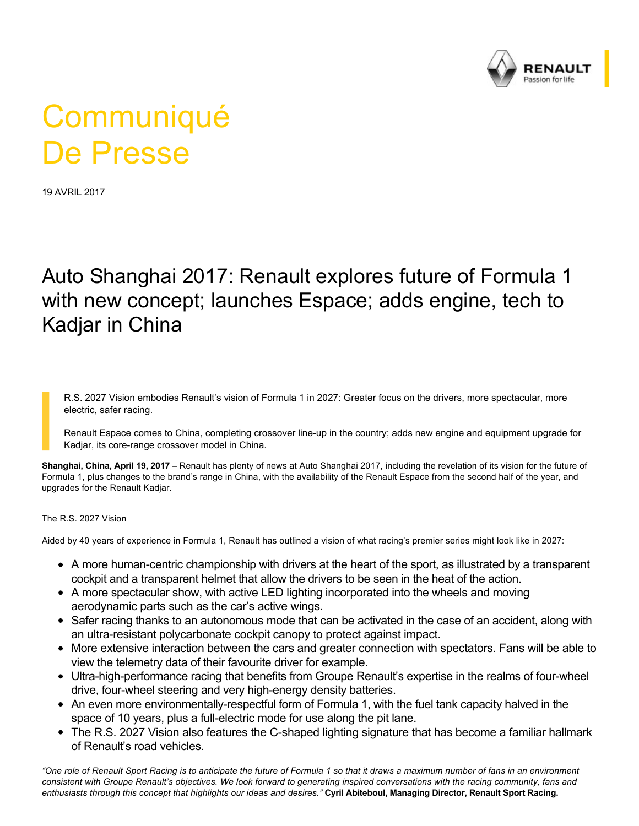

## **Communiqué** De Presse

19 AVRIL 2017

## Auto Shanghai 2017: Renault explores future of Formula 1 with new concept; launches Espace; adds engine, tech to Kadjar in China

R.S. 2027 Vision embodies Renault's vision of Formula 1 in 2027: Greater focus on the drivers, more spectacular, more electric, safer racing.

Renault Espace comes to China, completing crossover line-up in the country; adds new engine and equipment upgrade for Kadjar, its core-range crossover model in China.

**Shanghai, China, April 19, 2017 –** Renault has plenty of news at Auto Shanghai 2017, including the revelation of its vision for the future of Formula 1, plus changes to the brand's range in China, with the availability of the Renault Espace from the second half of the year, and upgrades for the Renault Kadjar.

## The R.S. 2027 Vision

Aided by 40 years of experience in Formula 1, Renault has outlined a vision of what racing's premier series might look like in 2027:

- A more human-centric championship with drivers at the heart of the sport, as illustrated by a transparent cockpit and a transparent helmet that allow the drivers to be seen in the heat of the action.
- A more spectacular show, with active LED lighting incorporated into the wheels and moving aerodynamic parts such as the car's active wings.
- Safer racing thanks to an autonomous mode that can be activated in the case of an accident, along with an ultra-resistant polycarbonate cockpit canopy to protect against impact.
- More extensive interaction between the cars and greater connection with spectators. Fans will be able to view the telemetry data of their favourite driver for example.
- Ultra-high-performance racing that benefits from Groupe Renault's expertise in the realms of four-wheel drive, four-wheel steering and very high-energy density batteries.
- An even more environmentally-respectful form of Formula 1, with the fuel tank capacity halved in the space of 10 years, plus a full-electric mode for use along the pit lane.
- $\bullet$  The R.S. 2027 Vision also features the C-shaped lighting signature that has become a familiar hallmark of Renault's road vehicles.

*"One role of Renault Sport Racing is to anticipate the future of Formula 1 so that it draws a maximum number of fans in an environment consistent with Groupe Renault's objectives. We look forward to generating inspired conversations with the racing community, fans and enthusiasts through this concept that highlights our ideas and desires."* **Cyril Abiteboul, Managing Director, Renault Sport Racing.**